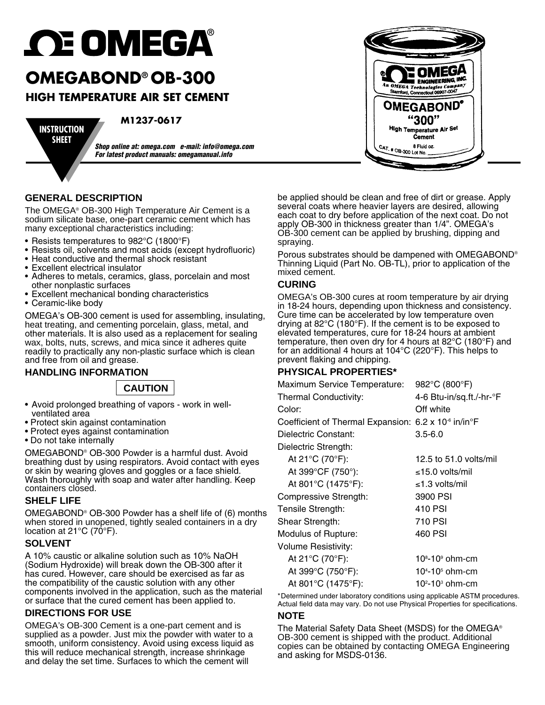# **OE OMEGA®**

# **OMEGABOND® OB-300**

## **High temperature air set cement**

**INSTRUCTION SHEET**

**M1237-0617**

*Shop online at: omega.com e-mail: info@omega.com For latest product manuals: omegamanual.info*

#### **GENERAL DESCRIPTION**

The OMEGA® OB-300 High Temperature Air Cement is a sodium silicate base, one-part ceramic cement which has many exceptional characteristics including:

- Resists temperatures to 982°C (1800°F)
- Resists oil, solvents and most acids (except hydrofluoric)
- Heat conductive and thermal shock resistant
- Excellent electrical insulator
- Adheres to metals, ceramics, glass, porcelain and most other nonplastic surfaces
- Excellent mechanical bonding characteristics
- • Ceramic-like body

OMEGA's OB-300 cement is used for assembling, insulating, heat treating, and cementing porcelain, glass, metal, and other materials. It is also used as a replacement for sealing wax, bolts, nuts, screws, and mica since it adheres quite readily to practically any non-plastic surface which is clean and free from oil and grease.

#### **HANDLING INFORMATION**

**CAUTION**

- • Avoid prolonged breathing of vapors work in well-
- 
- Protect skin against contamination<br>• Protect eyes against contamination<br>• Do not take internally
- 

OMEGABOND® OB-300 Powder is a harmful dust. Avoid breathing dust by using respirators. Avoid contact with eyes or skin by wearing gloves and goggles or a face shield. Wash thoroughly with soap and water after handling. Keep containers closed.

#### **SHELF LIFE**

OMEGABOND® OB-300 Powder has a shelf life of (6) months when stored in unopened, tightly sealed containers in a dry location at 21 $\mathrm{^{\circ}C}$  (70 $\mathrm{^{\circ}F}$ ).

#### **SOLVENT**

A 10% caustic or alkaline solution such as 10% NaOH (Sodium Hydroxide) will break down the OB-300 after it has cured. However, care should be exercised as far as the compatibility of the caustic solution with any other components involved in the application, such as the material or surface that the cured cement has been applied to.

#### **DIRECTIONS FOR USE**

OMEGA's OB-300 Cement is a one-part cement and is supplied as a powder. Just mix the powder with water to a smooth, uniform consistency. Avoid using excess liquid as this will reduce mechanical strength, increase shrinkage and delay the set time. Surfaces to which the cement will

be applied should be clean and free of dirt or grease. Apply several coats where heavier layers are desired, allowing each coat to dry before application of the next coat. Do not apply OB-300 in thickness greater than 1/4". OMEGA's OB-300 cement can be applied by brushing, dipping and spraying.

Porous substrates should be dampened with OMEGABOND® Thinning Liquid (Part No. OB-TL), prior to application of the mixed cement.

#### **CURING**

OMEGA's OB-300 cures at room temperature by air drying in 18-24 hours, depending upon thickness and consistency. Cure time can be accelerated by low temperature oven drying at 82°C (180°F). If the cement is to be exposed to elevated temperatures, cure for 18-24 hours at ambient temperature, then oven dry for 4 hours at 82°C (180°F) and for an additional 4 hours at 104°C (220°F). This helps to prevent flaking and chipping.

#### **PHYSICAL PROPERTIES\***

| <b>Maximum Service Temperature:</b>                                           | 982°C (800°F)                           |
|-------------------------------------------------------------------------------|-----------------------------------------|
| Thermal Conductivity:                                                         | 4-6 Btu-in/sq.ft./-hr-°F                |
| Color:                                                                        | Off white                               |
| Coefficient of Thermal Expansion: 6.2 x 10 <sup>-6</sup> in/in <sup>o</sup> F |                                         |
| Dielectric Constant:                                                          | $3.5 - 6.0$                             |
| Dielectric Strength:                                                          |                                         |
| At 21°C (70°F):                                                               | 12.5 to $51.0$ volts/mil                |
| At 399°CF (750°):                                                             | ≤15.0 volts/mil                         |
| At 801°C (1475°F):                                                            | ≤1.3 volts/mil                          |
| Compressive Strength:                                                         | 3900 PSI                                |
| Tensile Strength:                                                             | 410 PSI                                 |
| Shear Strength:                                                               | 710 PSI                                 |
| <b>Modulus of Rupture:</b>                                                    | 460 PSI                                 |
| Volume Resistivity:                                                           |                                         |
| At 21°C (70°F):                                                               | 10 <sup>8</sup> -10 <sup>9</sup> ohm-cm |
| At 399°C (750°F):                                                             | $10^{4} - 10^{5}$ ohm-cm                |
| At 801°C (1475°F):                                                            | $102$ -10 $3$ ohm-cm                    |

\* Determined under laboratory conditions using applicable ASTM procedures. Actual field data may vary. Do not use Physical Properties for specifications.

#### **NOTE**

The Material Safety Data Sheet (MSDS) for the OMEGA® OB-300 cement is shipped with the product. Additional copies can be obtained by contacting OMEGA Engineering and asking for MSDS-0136.